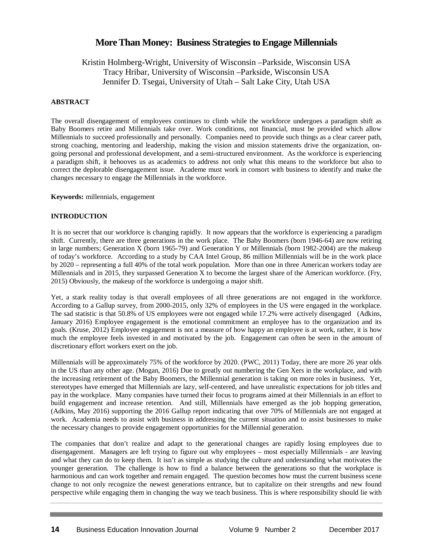# **More Than Money: Business Strategies to Engage Millennials**

Kristin Holmberg-Wright, University of Wisconsin –Parkside, Wisconsin USA Tracy Hribar, University of Wisconsin –Parkside, Wisconsin USA Jennifer D. Tsegai, University of Utah – Salt Lake City, Utah USA

# **ABSTRACT**

The overall disengagement of employees continues to climb while the workforce undergoes a paradigm shift as Baby Boomers retire and Millennials take over. Work conditions, not financial, must be provided which allow Millennials to succeed professionally and personally. Companies need to provide such things as a clear career path, strong coaching, mentoring and leadership, making the vision and mission statements drive the organization, ongoing personal and professional development, and a semi-structured environment. As the workforce is experiencing a paradigm shift, it behooves us as academics to address not only what this means to the workforce but also to correct the deplorable disengagement issue. Academe must work in consort with business to identify and make the changes necessary to engage the Millennials in the workforce.

**Keywords:** millennials, engagement

# **INTRODUCTION**

It is no secret that our workforce is changing rapidly. It now appears that the workforce is experiencing a paradigm shift. Currently, there are three generations in the work place. The Baby Boomers (born 1946-64) are now retiring in large numbers; Generation X (born 1965-79) and Generation Y or Millennials (born 1982-2004) are the makeup of today's workforce. According to a study by CAA Intel Group, 86 million Millennials will be in the work place by 2020 – representing a full 40% of the total work population. More than one in three American workers today are Millennials and in 2015, they surpassed Generation X to become the largest share of the American workforce. (Fry, 2015) Obviously, the makeup of the workforce is undergoing a major shift.

Yet, a stark reality today is that overall employees of all three generations are not engaged in the workforce. According to a Gallup survey, from 2000-2015, only 32% of employees in the US were engaged in the workplace. The sad statistic is that 50.8% of US employees were not engaged while 17.2% were actively disengaged (Adkins, January 2016) Employee engagement is the emotional commitment an employee has to the organization and its goals. (Kruse, 2012) Employee engagement is not a measure of how happy an employee is at work, rather, it is how much the employee feels invested in and motivated by the job. Engagement can often be seen in the amount of discretionary effort workers exert on the job.

Millennials will be approximately 75% of the workforce by 2020. (PWC, 2011) Today, there are more 26 year olds in the US than any other age. (Mogan, 2016) Due to greatly out numbering the Gen Xers in the workplace, and with the increasing retirement of the Baby Boomers, the Millennial generation is taking on more roles in business. Yet, stereotypes have emerged that Millennials are lazy, self-centered, and have unrealistic expectations for job titles and pay in the workplace. Many companies have turned their focus to programs aimed at their Millennials in an effort to build engagement and increase retention. And still, Millennials have emerged as the job hopping generation, (Adkins, May 2016) supporting the 2016 Gallup report indicating that over 70% of Millennials are not engaged at work. Academia needs to assist with business in addressing the current situation and to assist businesses to make the necessary changes to provide engagement opportunities for the Millennial generation.

The companies that don't realize and adapt to the generational changes are rapidly losing employees due to disengagement. Managers are left trying to figure out why employees – most especially Millennials - are leaving and what they can do to keep them. It isn't as simple as studying the culture and understanding what motivates the younger generation. The challenge is how to find a balance between the generations so that the workplace is harmonious and can work together and remain engaged. The question becomes how must the current business scene change to not only recognize the newest generations entrance, but to capitalize on their strengths and new found perspective while engaging them in changing the way we teach business. This is where responsibility should lie with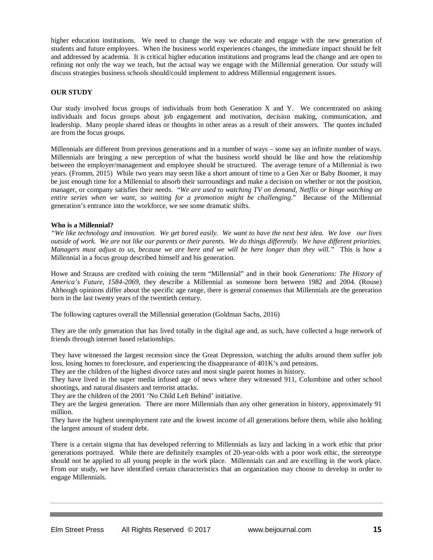higher education institutions. We need to change the way we educate and engage with the new generation of students and future employees. When the business world experiences changes, the immediate impact should be felt and addressed by academia. It is critical higher education institutions and programs lead the change and are open to refining not only the way we teach, but the actual way we engage with the Millennial generation. Our sstudy will discuss strategies business schools should/could implement to address Millennial engagement issues.

### **OUR STUDY**

Our study involved focus groups of individuals from both Generation X and Y. We concentrated on asking individuals and focus groups about job engagement and motivation, decision making, communication, and leadership. Many people shared ideas or thoughts in other areas as a result of their answers. The quotes included are from the focus groups.

Millennials are different from previous generations and in a number of ways – some say an infinite number of ways. Millennials are bringing a new perception of what the business world should be like and how the relationship between the employer/management and employee should be structured. The average tenure of a Millennial is two years. (Fromm, 2015) While two years may seem like a short amount of time to a Gen Xer or Baby Boomer, it may be just enough time for a Millennial to absorb their surroundings and make a decision on whether or not the position, manager, or company satisfies their needs. "*We are used to watching TV on demand, Netflix or binge watching an entire series when we want, so waiting for a promotion might be challenging*." Because of the Millennial generation's entrance into the workforce, we see some dramatic shifts.

### **Who is a Millennial?**

*"We like technology and innovation. We get bored easily. We want to have the next best idea. We love our lives outside of work. We are not like our parents or their parents. We do things differently. We have different priorities. Managers must adjust to us, because we are here and we will be here longer than they will."* This is how a Millennial in a focus group described himself and his generation.

Howe and Strauss are credited with coining the term "Millennial" and in their book *Generations: The History of America's Future*, *1584-2069,* they describe a Millennial as someone born between 1982 and 2004. (Rouse) Although opinions differ about the specific age range, there is general consensus that Millennials are the generation born in the last twenty years of the twentieth century.

The following captures overall the Millennial generation (Goldman Sachs, 2016)

They are the only generation that has lived totally in the digital age and, as such, have collected a huge network of friends through internet based relationships.

They have witnessed the largest recession since the Great Depression, watching the adults around them suffer job loss, losing homes to foreclosure, and experiencing the disappearance of 401K's and pensions.

They are the children of the highest divorce rates and most single parent homes in history.

They have lived in the super media infused age of news where they witnessed 911, Columbine and other school shootings, and natural disasters and terrorist attacks.

They are the children of the 2001 'No Child Left Behind' initiative.

They are the largest generation. There are more Millennials than any other generation in history, approximately 91 million.

They have the highest unemployment rate and the lowest income of all generations before them, while also holding the largest amount of student debt.

There is a certain stigma that has developed referring to Millennials as lazy and lacking in a work ethic that prior generations portrayed. While there are definitely examples of 20-year-olds with a poor work ethic, the stereotype should not be applied to all young people in the work place. Millennials can and are excelling in the work place. From our study, we have identified certain characteristics that an organization may choose to develop in order to engage Millennials.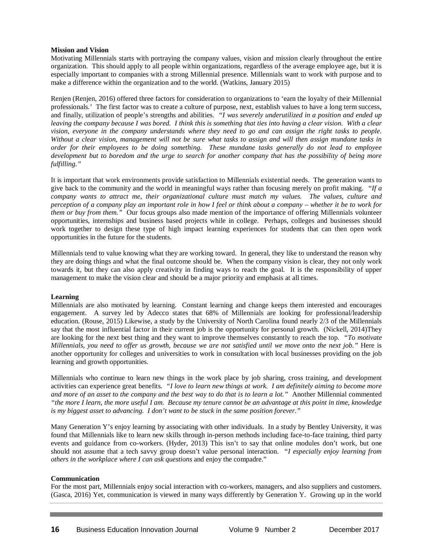#### **Mission and Vision**

Motivating Millennials starts with portraying the company values, vision and mission clearly throughout the entire organization. This should apply to all people within organizations, regardless of the average employee age, but it is especially important to companies with a strong Millennial presence. Millennials want to work with purpose and to make a difference within the organization and to the world. (Watkins, January 2015)

Renjen (Renjen, 2016) offered three factors for consideration to organizations to 'earn the loyalty of their Millennial professionals.' The first factor was to create a culture of purpose, next, establish values to have a long term success, and finally, utilization of people's strengths and abilities. *"I was severely underutilized in a position and ended up leaving the company because I was bored. I think this is something that ties into having a clear vision. With a clear vision, everyone in the company understands where they need to go and can assign the right tasks to people. Without a clear vision, management will not be sure what tasks to assign and will then assign mundane tasks in order for their employees to be doing something. These mundane tasks generally do not lead to employee development but to boredom and the urge to search for another company that has the possibility of being more fulfilling."* 

It is important that work environments provide satisfaction to Millennials existential needs. The generation wants to give back to the community and the world in meaningful ways rather than focusing merely on profit making. *"If a company wants to attract me, their organizational culture must match my values. The values, culture and perception of a company play an important role in how I feel or think about a company – whether it be to work for them or buy from them.*" Our focus groups also made mention of the importance of offering Millennials volunteer opportunities, internships and business based projects while in college. Perhaps, colleges and businesses should work together to design these type of high impact learning experiences for students that can then open work opportunities in the future for the students.

Millennials tend to value knowing what they are working toward. In general, they like to understand the reason why they are doing things and what the final outcome should be. When the company vision is clear, they not only work towards it, but they can also apply creativity in finding ways to reach the goal. It is the responsibility of upper management to make the vision clear and should be a major priority and emphasis at all times.

### **Learning**

Millennials are also motivated by learning. Constant learning and change keeps them interested and encourages engagement. A survey led by Adecco states that 68% of Millennials are looking for professional/leadership education. (Rouse, 2015) Likewise, a study by the University of North Carolina found nearly 2/3 of the Millennials say that the most influential factor in their current job is the opportunity for personal growth. (Nickell, 2014)They are looking for the next best thing and they want to improve themselves constantly to reach the top*. "To motivate Millennials, you need to offer us growth, because we are not satisfied until we move onto the next job."* Here is another opportunity for colleges and universities to work in consultation with local businesses providing on the job learning and growth opportunities.

Millennials who continue to learn new things in the work place by job sharing, cross training, and development activities can experience great benefits*. "I love to learn new things at work. I am definitely aiming to become more and more of an asset to the company and the best way to do that is to learn a lot."* Another Millennial commented *"the more I learn, the more useful I am. Because my tenure cannot be an advantage at this point in time, knowledge is my biggest asset to advancing. I don't want to be stuck in the same position forever."*

Many Generation Y's enjoy learning by associating with other individuals. In a study by Bentley University, it was found that Millennials like to learn new skills through in-person methods including face-to-face training, third party events and guidance from co-workers. (Hyder, 2013) This isn't to say that online modules don't work, but one should not assume that a tech savvy group doesn't value personal interaction. *"I especially enjoy learning from others in the workplace where I can ask questions* and enjoy the compadre."

### **Communication**

For the most part, Millennials enjoy social interaction with co-workers, managers, and also suppliers and customers. (Gasca, 2016) Yet, communication is viewed in many ways differently by Generation Y. Growing up in the world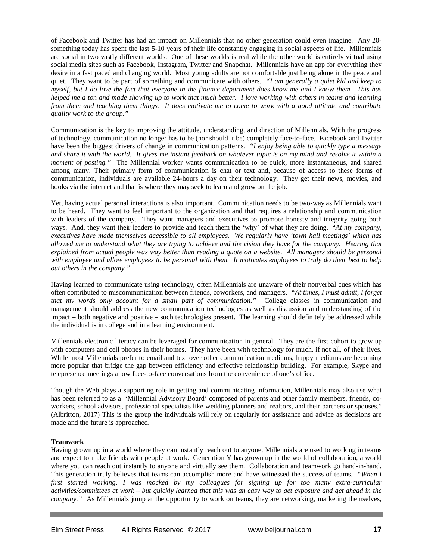of Facebook and Twitter has had an impact on Millennials that no other generation could even imagine. Any 20 something today has spent the last 5-10 years of their life constantly engaging in social aspects of life. Millennials are social in two vastly different worlds. One of these worlds is real while the other world is entirely virtual using social media sites such as Facebook, Instagram, Twitter and Snapchat. Millennials have an app for everything they desire in a fast paced and changing world. Most young adults are not comfortable just being alone in the peace and quiet. They want to be part of something and communicate with others. *"I am generally a quiet kid and keep to myself, but I do love the fact that everyone in the finance department does know me and I know them. This has helped me a ton and made showing up to work that much better. I love working with others in teams and learning from them and teaching them things. It does motivate me to come to work with a good attitude and contribute quality work to the group."*

Communication is the key to improving the attitude, understanding, and direction of Millennials. With the progress of technology, communication no longer has to be (nor should it be) completely face-to-face. Facebook and Twitter have been the biggest drivers of change in communication patterns. *"I enjoy being able to quickly type a message and share it with the world. It gives me instant feedback on whatever topic is on my mind and resolve it within a moment of posting."* The Millennial worker wants communication to be quick, more instantaneous, and shared among many. Their primary form of communication is chat or text and, because of access to these forms of communication, individuals are available 24-hours a day on their technology. They get their news, movies, and books via the internet and that is where they may seek to learn and grow on the job.

Yet, having actual personal interactions is also important. Communication needs to be two-way as Millennials want to be heard. They want to feel important to the organization and that requires a relationship and communication with leaders of the company. They want managers and executives to promote honesty and integrity going both ways. And, they want their leaders to provide and teach them the 'why' of what they are doing. "*At my company, executives have made themselves accessible to all employees. We regularly have 'town hall meetings' which has allowed me to understand what they are trying to achieve and the vision they have for the company. Hearing that explained from actual people was way better than reading a quote on a website. All managers should be personal with employee and allow employees to be personal with them. It motivates employees to truly do their best to help out others in the company."*

Having learned to communicate using technology, often Millennials are unaware of their nonverbal cues which has often contributed to miscommunication between friends, coworkers, and managers. *"At times, I must admit, I forget that my words only account for a small part of communication."* College classes in communication and management should address the new communication technologies as well as discussion and understanding of the impact – both negative and positive – such technologies present. The learning should definitely be addressed while the individual is in college and in a learning environment.

Millennials electronic literacy can be leveraged for communication in general. They are the first cohort to grow up with computers and cell phones in their homes. They have been with technology for much, if not all, of their lives. While most Millennials prefer to email and text over other communication mediums, happy mediums are becoming more popular that bridge the gap between efficiency and effective relationship building. For example, Skype and telepresence meetings allow face-to-face conversations from the convenience of one's office.

Though the Web plays a supporting role in getting and communicating information, Millennials may also use what has been referred to as a 'Millennial Advisory Board' composed of parents and other family members, friends, coworkers, school advisors, professional specialists like wedding planners and realtors, and their partners or spouses." (Albritton, 2017) This is the group the individuals will rely on regularly for assistance and advice as decisions are made and the future is approached.

### **Teamwork**

Having grown up in a world where they can instantly reach out to anyone, Millennials are used to working in teams and expect to make friends with people at work. Generation Y has grown up in the world of collaboration, a world where you can reach out instantly to anyone and virtually see them. Collaboration and teamwork go hand-in-hand. This generation truly believes that teams can accomplish more and have witnessed the success of teams. *"When I first started working, I was mocked by my colleagues for signing up for too many extra-curricular activities/committees at work – but quickly learned that this was an easy way to get exposure and get ahead in the company."* As Millennials jump at the opportunity to work on teams, they are networking, marketing themselves,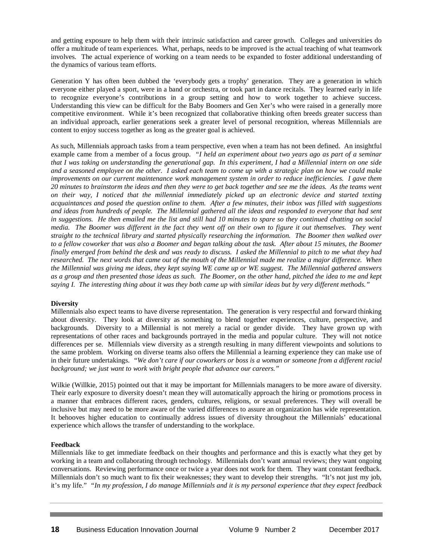and getting exposure to help them with their intrinsic satisfaction and career growth. Colleges and universities do offer a multitude of team experiences. What, perhaps, needs to be improved is the actual teaching of what teamwork involves. The actual experience of working on a team needs to be expanded to foster additional understanding of the dynamics of various team efforts.

Generation Y has often been dubbed the 'everybody gets a trophy' generation. They are a generation in which everyone either played a sport, were in a band or orchestra, or took part in dance recitals. They learned early in life to recognize everyone's contributions in a group setting and how to work together to achieve success. Understanding this view can be difficult for the Baby Boomers and Gen Xer's who were raised in a generally more competitive environment. While it's been recognized that collaborative thinking often breeds greater success than an individual approach, earlier generations seek a greater level of personal recognition, whereas Millennials are content to enjoy success together as long as the greater goal is achieved.

As such, Millennials approach tasks from a team perspective, even when a team has not been defined. An insightful example came from a member of a focus group. *"I held an experiment about two years ago as part of a seminar that I was taking on understanding the generational gap. In this experiment, I had a Millennial intern on one side and a seasoned employee on the other. I asked each team to come up with a strategic plan on how we could make improvements on our current maintenance work management system in order to reduce inefficiencies. I gave them 20 minutes to brainstorm the ideas and then they were to get back together and see me the ideas. As the teams went on their way, I noticed that the millennial immediately picked up an electronic device and started texting acquaintances and posed the question online to them. After a few minutes, their inbox was filled with suggestions and ideas from hundreds of people. The Millennial gathered all the ideas and responded to everyone that had sent in suggestions. He then emailed me the list and still had 10 minutes to spare so they continued chatting on social media. The Boomer was different in the fact they went off on their own to figure it out themselves. They went straight to the technical library and started physically researching the information. The Boomer then walked over to a fellow coworker that was also a Boomer and began talking about the task. After about 15 minutes, the Boomer finally emerged from behind the desk and was ready to discuss. I asked the Millennial to pitch to me what they had researched. The next words that came out of the mouth of the Millennial made me realize a major difference. When the Millennial was giving me ideas, they kept saying WE came up or WE suggest. The Millennial gathered answers as a group and then presented those ideas as such. The Boomer, on the other hand, pitched the idea to me and kept saying I. The interesting thing about it was they both came up with similar ideas but by very different methods."* 

# **Diversity**

Millennials also expect teams to have diverse representation. The generation is very respectful and forward thinking about diversity. They look at diversity as something to blend together experiences, culture, perspective, and backgrounds. Diversity to a Millennial is not merely a racial or gender divide. They have grown up with representations of other races and backgrounds portrayed in the media and popular culture. They will not notice differences per se. Millennials view diversity as a strength resulting in many different viewpoints and solutions to the same problem. Working on diverse teams also offers the Millennial a learning experience they can make use of in their future undertakings. *"We don't care if our coworkers or boss is a woman or someone from a different racial background; we just want to work with bright people that advance our careers."*

Wilkie (Willkie, 2015) pointed out that it may be important for Millennials managers to be more aware of diversity. Their early exposure to diversity doesn't mean they will automatically approach the hiring or promotions process in a manner that embraces different races, genders, cultures, religions, or sexual preferences. They will overall be inclusive but may need to be more aware of the varied differences to assure an organization has wide representation. It behooves higher education to continually address issues of diversity throughout the Millennials' educational experience which allows the transfer of understanding to the workplace.

### **Feedback**

Millennials like to get immediate feedback on their thoughts and performance and this is exactly what they get by working in a team and collaborating through technology. Millennials don't want annual reviews; they want ongoing conversations. Reviewing performance once or twice a year does not work for them. They want constant feedback. Millennials don't so much want to fix their weaknesses; they want to develop their strengths. "It's not just my job, it's my life." *"In my profession, I do manage Millennials and it is my personal experience that they expect feedback*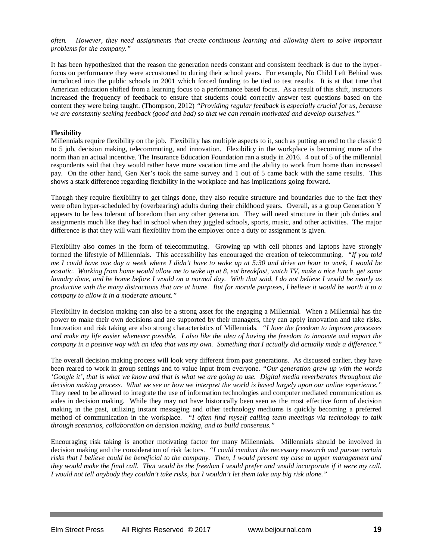*often. However, they need assignments that create continuous learning and allowing them to solve important problems for the company."*

It has been hypothesized that the reason the generation needs constant and consistent feedback is due to the hyperfocus on performance they were accustomed to during their school years. For example, No Child Left Behind was introduced into the public schools in 2001 which forced funding to be tied to test results. It is at that time that American education shifted from a learning focus to a performance based focus. As a result of this shift, instructors increased the frequency of feedback to ensure that students could correctly answer test questions based on the content they were being taught. (Thompson, 2012) *"Providing regular feedback is especially crucial for us, because we are constantly seeking feedback (good and bad) so that we can remain motivated and develop ourselves."*

### **Flexibility**

Millennials require flexibility on the job. Flexibility has multiple aspects to it, such as putting an end to the classic 9 to 5 job, decision making, telecommuting, and innovation. Flexibility in the workplace is becoming more of the norm than an actual incentive. The Insurance Education Foundation ran a study in 2016. 4 out of 5 of the millennial respondents said that they would rather have more vacation time and the ability to work from home than increased pay. On the other hand, Gen Xer's took the same survey and 1 out of 5 came back with the same results. This shows a stark difference regarding flexibility in the workplace and has implications going forward.

Though they require flexibility to get things done, they also require structure and boundaries due to the fact they were often hyper-scheduled by (overbearing) adults during their childhood years. Overall, as a group Generation Y appears to be less tolerant of boredom than any other generation. They will need structure in their job duties and assignments much like they had in school when they juggled schools, sports, music, and other activities. The major difference is that they will want flexibility from the employer once a duty or assignment is given.

Flexibility also comes in the form of telecommuting. Growing up with cell phones and laptops have strongly formed the lifestyle of Millennials. This accessibility has encouraged the creation of telecommuting*. "If you told me I could have one day a week where I didn't have to wake up at 5:30 and drive an hour to work, I would be ecstatic. Working from home would allow me to wake up at 8, eat breakfast, watch TV, make a nice lunch, get some laundry done, and be home before I would on a normal day. With that said, I do not believe I would be nearly as productive with the many distractions that are at home. But for morale purposes, I believe it would be worth it to a company to allow it in a moderate amount."*

Flexibility in decision making can also be a strong asset for the engaging a Millennial. When a Millennial has the power to make their own decisions and are supported by their managers, they can apply innovation and take risks. Innovation and risk taking are also strong characteristics of Millennials. *"I love the freedom to improve processes and make my life easier whenever possible. I also like the idea of having the freedom to innovate and impact the company in a positive way with an idea that was my own. Something that I actually did actually made a difference."* 

The overall decision making process will look very different from past generations. As discussed earlier, they have been reared to work in group settings and to value input from everyone. *"Our generation grew up with the words 'Google it', that is what we know and that is what we are going to use. Digital media reverberates throughout the decision making process. What we see or how we interpret the world is based largely upon our online experience."*  They need to be allowed to integrate the use of information technologies and computer mediated communication as aides in decision making. While they may not have historically been seen as the most effective form of decision making in the past, utilizing instant messaging and other technology mediums is quickly becoming a preferred method of communication in the workplace. *"I often find myself calling team meetings via technology to talk through scenarios, collaboration on decision making, and to build consensus."*

Encouraging risk taking is another motivating factor for many Millennials. Millennials should be involved in decision making and the consideration of risk factors. *"I could conduct the necessary research and pursue certain risks that I believe could be beneficial to the company. Then, I would present my case to upper management and they would make the final call. That would be the freedom I would prefer and would incorporate if it were my call. I would not tell anybody they couldn't take risks, but I wouldn't let them take any big risk alone."*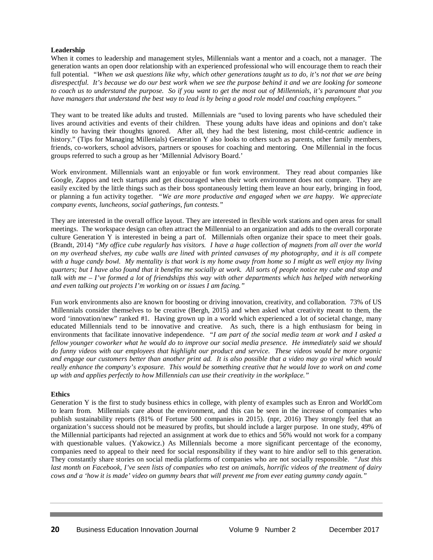### **Leadership**

When it comes to leadership and management styles, Millennials want a mentor and a coach, not a manager. The generation wants an open door relationship with an experienced professional who will encourage them to reach their full potential. *"When we ask questions like why, which other generations taught us to do, it's not that we are being disrespectful. It's because we do our best work when we see the purpose behind it and we are looking for someone to coach us to understand the purpose. So if you want to get the most out of Millennials, it's paramount that you have managers that understand the best way to lead is by being a good role model and coaching employees."*

They want to be treated like adults and trusted. Millennials are "used to loving parents who have scheduled their lives around activities and events of their children. These young adults have ideas and opinions and don't take kindly to having their thoughts ignored. After all, they had the best listening, most child-centric audience in history." (Tips for Managing Millenials) Generation Y also looks to others such as parents, other family members, friends, co-workers, school advisors, partners or spouses for coaching and mentoring. One Millennial in the focus groups referred to such a group as her 'Millennial Advisory Board.'

Work environment. Millennials want an enjoyable or fun work environment. They read about companies like Google, Zappos and tech startups and get discouraged when their work environment does not compare. They are easily excited by the little things such as their boss spontaneously letting them leave an hour early, bringing in food, or planning a fun activity together*. "We are more productive and engaged when we are happy. We appreciate company events, luncheons, social gatherings, fun contests."*

They are interested in the overall office layout. They are interested in flexible work stations and open areas for small meetings. The workspace design can often attract the Millennial to an organization and adds to the overall corporate culture Generation Y is interested in being a part of. Millennials often organize their space to meet their goals. (Brandt, 2014) *"My office cube regularly has visitors. I have a huge collection of magnets from all over the world on my overhead shelves, my cube walls are lined with printed canvases of my photography, and it is all compete with a huge candy bowl. My mentality is that work is my home away from home so I might as well enjoy my living quarters; but I have also found that it benefits me socially at work. All sorts of people notice my cube and stop and talk with me – I've formed a lot of friendships this way with other departments which has helped with networking and even talking out projects I'm working on or issues I am facing."* 

Fun work environments also are known for boosting or driving innovation, creativity, and collaboration. 73% of US Millennials consider themselves to be creative (Bergh, 2015) and when asked what creativity meant to them, the word 'innovation/new" ranked #1. Having grown up in a world which experienced a lot of societal change, many educated Millennials tend to be innovative and creative. As such, there is a high enthusiasm for being in environments that facilitate innovative independence. *"I am part of the social media team at work and I asked a fellow younger coworker what he would do to improve our social media presence. He immediately said we should do funny videos with our employees that highlight our product and service. These videos would be more organic and engage our customers better than another print ad. It is also possible that a video may go viral which would really enhance the company's exposure. This would be something creative that he would love to work on and come up with and applies perfectly to how Millennials can use their creativity in the workplace."*

### **Ethics**

Generation Y is the first to study business ethics in college, with plenty of examples such as Enron and WorldCom to learn from. Millennials care about the environment, and this can be seen in the increase of companies who publish sustainability reports (81% of Fortune 500 companies in 2015). (npr, 2016) They strongly feel that an organization's success should not be measured by profits, but should include a larger purpose. In one study, 49% of the Millennial participants had rejected an assignment at work due to ethics and 56% would not work for a company with questionable values. (Yakowicz.) As Millennials become a more significant percentage of the economy, companies need to appeal to their need for social responsibility if they want to hire and/or sell to this generation. They constantly share stories on social media platforms of companies who are not socially responsible. *"Just this last month on Facebook, I've seen lists of companies who test on animals, horrific videos of the treatment of dairy cows and a 'how it is made' video on gummy bears that will prevent me from ever eating gummy candy again."*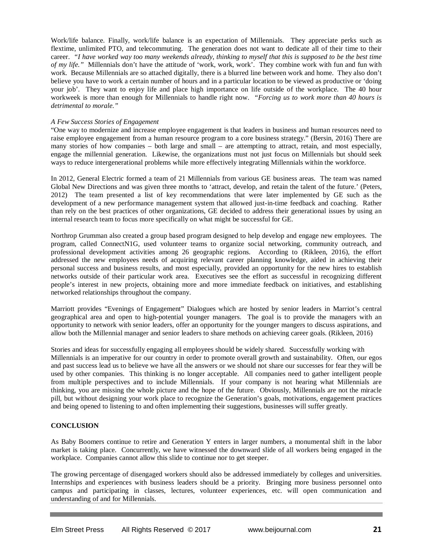Work/life balance. Finally, work/life balance is an expectation of Millennials. They appreciate perks such as flextime, unlimited PTO, and telecommuting. The generation does not want to dedicate all of their time to their career. *"I have worked way too many weekends already, thinking to myself that this is supposed to be the best time of my life."* Millennials don't have the attitude of 'work, work, work'. They combine work with fun and fun with work. Because Millennials are so attached digitally, there is a blurred line between work and home. They also don't believe you have to work a certain number of hours and in a particular location to be viewed as productive or 'doing your job'. They want to enjoy life and place high importance on life outside of the workplace. The 40 hour workweek is more than enough for Millennials to handle right now. *"Forcing us to work more than 40 hours is detrimental to morale."*

# *A Few Success Stories of Engagement*

"One way to modernize and increase employee engagement is that leaders in business and human resources need to raise employee engagement from a human resource program to a core business strategy." (Bersin, 2016) There are many stories of how companies – both large and small – are attempting to attract, retain, and most especially, engage the millennial generation. Likewise, the organizations must not just focus on Millennials but should seek ways to reduce intergenerational problems while more effectively integrating Millennials within the workforce.

In 2012, General Electric formed a team of 21 Millennials from various GE business areas. The team was named Global New Directions and was given three months to 'attract, develop, and retain the talent of the future.' (Peters, 2012) The team presented a list of key recommendations that were later implemented by GE such as the development of a new performance management system that allowed just-in-time feedback and coaching. Rather than rely on the best practices of other organizations, GE decided to address their generational issues by using an internal research team to focus more specifically on what might be successful for GE.

Northrop Grumman also created a group based program designed to help develop and engage new employees. The program, called ConnectN1G, used volunteer teams to organize social networking, community outreach, and professional development activities among 26 geographic regions. According to (Rikleen, 2016), the effort addressed the new employees needs of acquiring relevant career planning knowledge, aided in achieving their personal success and business results, and most especially, provided an opportunity for the new hires to establish networks outside of their particular work area. Executives see the effort as successful in recognizing different people's interest in new projects, obtaining more and more immediate feedback on initiatives, and establishing networked relationships throughout the company.

Marriott provides "Evenings of Engagement" Dialogues which are hosted by senior leaders in Marriot's central geographical area and open to high-potential younger managers. The goal is to provide the managers with an opportunity to network with senior leaders, offer an opportunity for the younger mangers to discuss aspirations, and allow both the Millennial manager and senior leaders to share methods on achieving career goals. (Rikleen, 2016)

Stories and ideas for successfully engaging all employees should be widely shared. Successfully working with Millennials is an imperative for our country in order to promote overall growth and sustainability. Often, our egos and past success lead us to believe we have all the answers or we should not share our successes for fear they will be used by other companies. This thinking is no longer acceptable. All companies need to gather intelligent people from multiple perspectives and to include Millennials. If your company is not hearing what Millennials are thinking, you are missing the whole picture and the hope of the future. Obviously, Millennials are not the miracle pill, but without designing your work place to recognize the Generation's goals, motivations, engagement practices and being opened to listening to and often implementing their suggestions, businesses will suffer greatly.

### **CONCLUSION**

As Baby Boomers continue to retire and Generation Y enters in larger numbers, a monumental shift in the labor market is taking place. Concurrently, we have witnessed the downward slide of all workers being engaged in the workplace. Companies cannot allow this slide to continue nor to get steeper.

The growing percentage of disengaged workers should also be addressed immediately by colleges and universities. Internships and experiences with business leaders should be a priority. Bringing more business personnel onto campus and participating in classes, lectures, volunteer experiences, etc. will open communication and understanding of and for Millennials.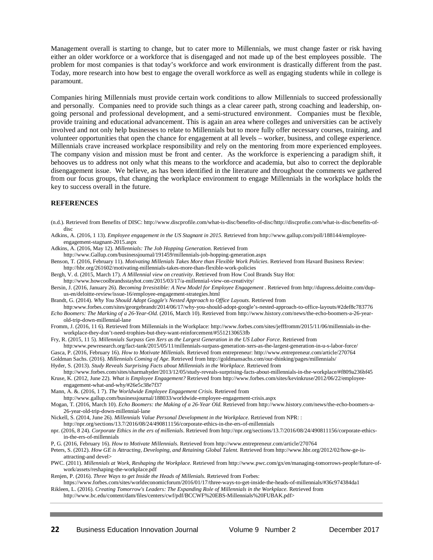Management overall is starting to change, but to cater more to Millennials, we must change faster or risk having either an older workforce or a workforce that is disengaged and not made up of the best employees possible. The problem for most companies is that today's workforce and work environment is drastically different from the past. Today, more research into how best to engage the overall workforce as well as engaging students while in college is paramount.

Companies hiring Millennials must provide certain work conditions to allow Millennials to succeed professionally and personally. Companies need to provide such things as a clear career path, strong coaching and leadership, ongoing personal and professional development, and a semi-structured environment. Companies must be flexible, provide training and educational advancement. This is again an area where colleges and universities can be actively involved and not only help businesses to relate to Millennials but to more fully offer necessary courses, training, and volunteer opportunities that open the chance for engagement at all levels – worker, business, and college experience. Millennials crave increased workplace responsibility and rely on the mentoring from more experienced employees. The company vision and mission must be front and center. As the workforce is experiencing a paradigm shift, it behooves us to address not only what this means to the workforce and academia, but also to correct the deplorable disengagement issue. We believe, as has been identified in the literature and throughout the comments we gathered from our focus groups, that changing the workplace environment to engage Millennials in the workplace holds the key to success overall in the future.

### **REFERENCES**

- (n.d.). Retrieved from Benefits of DISC: http://www.discprofile.com/what-is-disc/benefits-of-disc/http://discprofie.com/what-is-disc/benefits-ofdisc
- Adkins, A. (2016, 1 13). *Employee engagement in the US Stagnant in 2015.* Retrieved from http://www.gallup.com/poll/188144/employeeengagement-stagnant-2015.aspx
- Adkins, A. (2016, May 12). *Millennials: The Job Hopping Generation.* Retrieved from
- http://www.Gallup.com/businessjournal/191459/millennials-job-hopping-generation.aspx
- Benson, T. (2016, February 11). *Motivating Millenials Takes More than Flexible Work Policies.* Retrieved from Havard Business Review: http://hbr.org/261602/motivating-millennials-takes-more-than-flexible-work-policies
- Bergh, V. d. (2015, March 17). *A Millennial view on creativity*. Retrieved from How Cool Brands Stay Hot:
- http://www.howcoolbrandsstayhot.com/2015/03/17/a-millennial-view-on-creativity/
- Bersin, J. (2016, January 26). *Becoming Irresistible: A New Model for Employee Engagement .* Retrieved from http://dupress.deloitte.com/dupus-en/deloitte-review/issue-16/employee-engagement-strategies.html
- Brandt, G. (2014). *Why You Should Adopt Goggle's Nested Approach to Office Layouts.* Retrieved from
- http:www.forbes.com/sites/georgebrandt/2014/06/17/why-you-should-adopt-google's-nested-approach-to-office-layouts/#2def8c783776 *Echo Boomers: The Marking of a 26-Year-Old.* (2016, March 10). Retrieved from http://www.history.com/news/the-echo-boomers-a-26-yearold-trip-down-millennial-lane
- Fromm, J. (2016, 11 6). Retrieved from Millennials in the Workplace: http://www.forbes.com/sites/jefffromm/2015/11/06/millennials-in-theworkplace-they-don't-need-trophies-but-they-want-reinforcement/#5512130653fb
- Fry, R. (2015, 11 5). *Millennials Surpass Gen Xers as the Largest Generation in the US Labor Force.* Retrieved from
- http:www.pewresearch.org/fact-tank/2015/05/11/millennials-surpass-generation-xers-as-the-largest-generation-in-u-s-labor-force/
- Gasca, P. (2016, February 16). *How to Motivate Millenials.* Retrieved from entrepreneur: http://www.entrepreneur.com/article/270764 Goldman Sachs. (2016). *Millennials Coming of Age.* Retrieved from http://goldmansachs.com/our-thinking/pages/millennials/
- Hyder, S. (2013). *Study Reveals Surprising Facts about Millennials in the Workplace.* Retrieved from
- http://www.forbes.com/sites/sharmahyder/2013/12/05/study-reveals-surprising-facts-about-millennials-in-the-workplace/#f809a236bf45
- Kruse, K. (2012, June 22). *What is Employee Engagement?* Retrieved from http://www.forbes.com/sites/kevinkruse/2012/06/22/employeeengagement-what-and-why/#26e5c38e7f37
- Mann, A. &. (2016, 1 7). *The Worldwide Employee Engagement Crisis.* Retrieved from
- http://www.gallup.com/businessjournal/188033/worldwide-employee-engagement-crisis.aspx
- Mogan, T. (2016, March 10). *Echo Boomers: the Making of a 26-Year Old.* Retrieved from http://www.history.com/news/the-echo-boomers-a-26-year-old-trip-down-millennial-lane
- Nickell, S. (2014, June 26). *Millennials Value Personal Development in the Workplace.* Retrieved from NPR: :
- http://npr.org/sections/13.7/2016/08/24/490811156/corporate-ethics-in-the-ers-of-millennials
- npr. (2016, 8 24). *Corporate Ethics in the ers of millenials*. Retrieved from http://npr.org/sections/13.7/2016/08/24/490811156/corporate-ethicsin-the-ers-of-millennials
- P, G. (2016, February 16). *How to Motivate Millennials.* Retrieved from http://www.entrepreneur.com/article/270764
- Peters, S. (2012). *How GE is Attracting, Developing, and Retaining Global Talent.* Retrieved from http://www.hbr.org/2012/02/how-ge-isattracting-and devel>
- PWC. (2011). *Millennials at Work, Reshaping the Workplace.* Retrieved from http://www.pwc.com/gx/en/managing-tomorrows-people/future-ofwork/assets/reshaping-the-workplace.pdf
- Renjen, P. (2016). *Three Ways to get Inside the Heads of Millenials.* Retrieved from Forbes:
- https://www.forbes.com/sites/worldeconomicforum/2016/01/17/three-ways-to-get-inside-the-heads-of-millennials/#36c974384da1 Rikleen, L. (2016). *Creating Tomorrow's Leaders: The Expanding Role of Millennials in the Workplace.* Retrieved from
- http://www.bc.edu/content/dam/files/centers/cwf/pdf/BCCWF%20EBS-Millennials%20FUBAK.pdf>